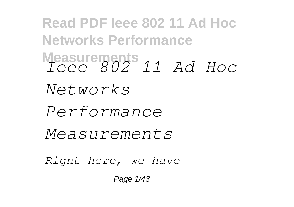**Read PDF Ieee 802 11 Ad Hoc Networks Performance Measurements** *Ieee 802 11 Ad Hoc Networks Performance Measurements Right here, we have*

Page 1/43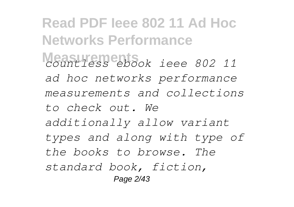**Read PDF Ieee 802 11 Ad Hoc Networks Performance Measurements** *countless ebook ieee 802 11 ad hoc networks performance measurements and collections to check out. We additionally allow variant types and along with type of the books to browse. The standard book, fiction,* Page 2/43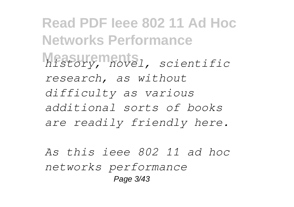**Read PDF Ieee 802 11 Ad Hoc Networks Performance Measurements** *history, novel, scientific research, as without difficulty as various additional sorts of books are readily friendly here.*

*As this ieee 802 11 ad hoc networks performance* Page 3/43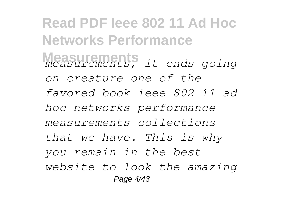**Read PDF Ieee 802 11 Ad Hoc Networks Performance Measurements** *measurements, it ends going on creature one of the favored book ieee 802 11 ad hoc networks performance measurements collections that we have. This is why you remain in the best website to look the amazing* Page 4/43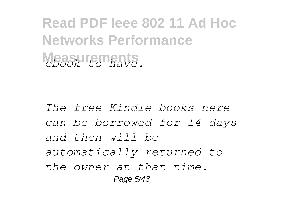**Read PDF Ieee 802 11 Ad Hoc Networks Performance Measurements** *ebook to have.*

*The free Kindle books here can be borrowed for 14 days and then will be automatically returned to the owner at that time.* Page 5/43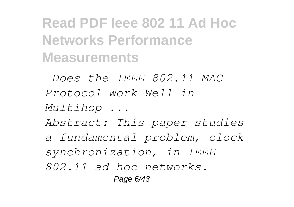**Read PDF Ieee 802 11 Ad Hoc Networks Performance Measurements**

*Does the IEEE 802.11 MAC Protocol Work Well in Multihop ... Abstract: This paper studies a fundamental problem, clock synchronization, in IEEE 802.11 ad hoc networks.* Page 6/43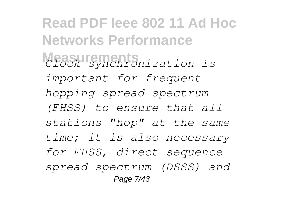**Read PDF Ieee 802 11 Ad Hoc Networks Performance Measurements** *Clock synchronization is important for frequent hopping spread spectrum (FHSS) to ensure that all stations "hop" at the same time; it is also necessary for FHSS, direct sequence spread spectrum (DSSS) and* Page 7/43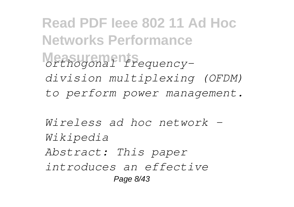**Read PDF Ieee 802 11 Ad Hoc Networks Performance Measurements** *orthogonal frequencydivision multiplexing (OFDM) to perform power management.*

*Wireless ad hoc network - Wikipedia Abstract: This paper introduces an effective* Page 8/43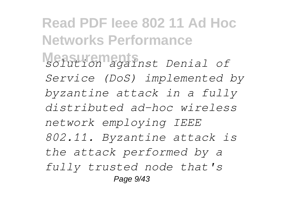**Read PDF Ieee 802 11 Ad Hoc Networks Performance Measurements** *solution against Denial of Service (DoS) implemented by byzantine attack in a fully distributed ad-hoc wireless network employing IEEE 802.11. Byzantine attack is the attack performed by a fully trusted node that's* Page 9/43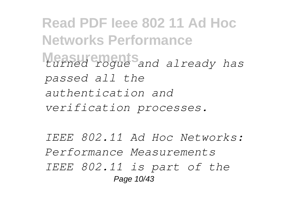**Read PDF Ieee 802 11 Ad Hoc Networks Performance Measurements** *turned rogue and already has passed all the authentication and verification processes.*

*IEEE 802.11 Ad Hoc Networks: Performance Measurements IEEE 802.11 is part of the* Page 10/43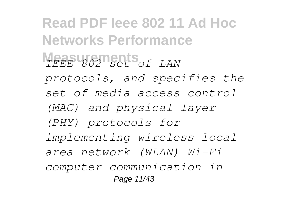**Read PDF Ieee 802 11 Ad Hoc Networks Performance MEASUREMENTS** *OF LAN protocols, and specifies the set of media access control (MAC) and physical layer (PHY) protocols for implementing wireless local area network (WLAN) Wi-Fi computer communication in* Page 11/43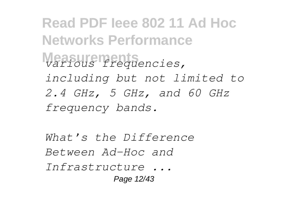**Read PDF Ieee 802 11 Ad Hoc Networks Performance Measurements** *various frequencies, including but not limited to 2.4 GHz, 5 GHz, and 60 GHz frequency bands.*

*What's the Difference Between Ad-Hoc and Infrastructure ...* Page 12/43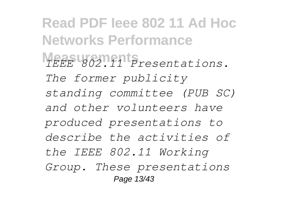**Read PDF Ieee 802 11 Ad Hoc Networks Performance Measurements** *IEEE 802.11 Presentations. The former publicity standing committee (PUB SC) and other volunteers have produced presentations to describe the activities of the IEEE 802.11 Working Group. These presentations* Page 13/43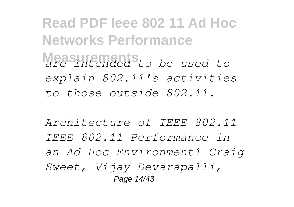**Read PDF Ieee 802 11 Ad Hoc Networks Performance Measurements** *are intended to be used to explain 802.11's activities to those outside 802.11.*

*Architecture of IEEE 802.11 IEEE 802.11 Performance in an Ad-Hoc Environment1 Craig Sweet, Vijay Devarapalli,* Page 14/43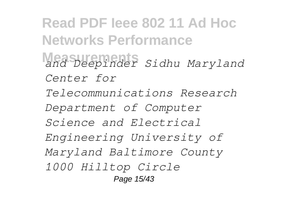**Read PDF Ieee 802 11 Ad Hoc Networks Performance Measurements** *and Deepinder Sidhu Maryland Center for Telecommunications Research Department of Computer Science and Electrical Engineering University of Maryland Baltimore County 1000 Hilltop Circle* Page 15/43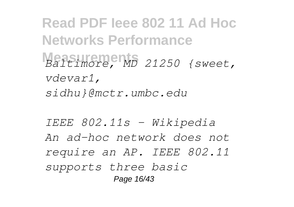**Read PDF Ieee 802 11 Ad Hoc Networks Performance Measurements** *Baltimore, MD 21250 {sweet, vdevar1, sidhu}@mctr.umbc.edu*

*IEEE 802.11s - Wikipedia An ad-hoc network does not require an AP. IEEE 802.11 supports three basic* Page 16/43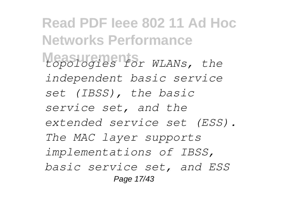**Read PDF Ieee 802 11 Ad Hoc Networks Performance Measurements** *topologies for WLANs, the independent basic service set (IBSS), the basic service set, and the extended service set (ESS). The MAC layer supports implementations of IBSS, basic service set, and ESS* Page 17/43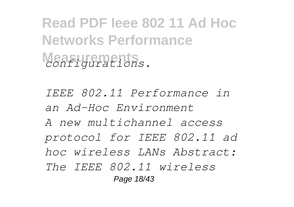**Read PDF Ieee 802 11 Ad Hoc Networks Performance**  $\alpha$ <sup>2</sup> *configurations.* 

*IEEE 802.11 Performance in an Ad-Hoc Environment A new multichannel access protocol for IEEE 802.11 ad hoc wireless LANs Abstract: The IEEE 802.11 wireless* Page 18/43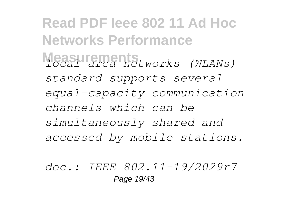**Read PDF Ieee 802 11 Ad Hoc Networks Performance Measurements** *local area networks (WLANs) standard supports several equal-capacity communication channels which can be simultaneously shared and accessed by mobile stations.*

*doc.: IEEE 802.11-19/2029r7* Page 19/43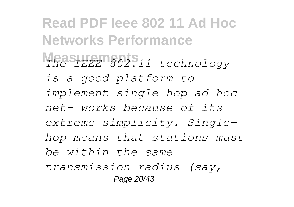**Read PDF Ieee 802 11 Ad Hoc Networks Performance Measurements** *The IEEE 802.11 technology is a good platform to implement single-hop ad hoc net- works because of its extreme simplicity. Singlehop means that stations must be within the same transmission radius (say,* Page 20/43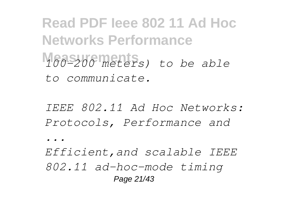**Read PDF Ieee 802 11 Ad Hoc Networks Performance Measurements** *100–200 meters) to be able to communicate.*

*IEEE 802.11 Ad Hoc Networks: Protocols, Performance and*

*...*

*Efficient,and scalable IEEE 802.11 ad-hoc-mode timing* Page 21/43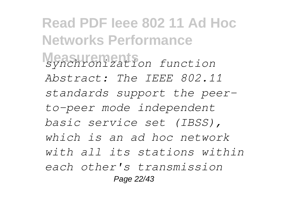**Read PDF Ieee 802 11 Ad Hoc Networks Performance Measurements** *synchronization function Abstract: The IEEE 802.11 standards support the peerto-peer mode independent basic service set (IBSS), which is an ad hoc network with all its stations within each other's transmission* Page 22/43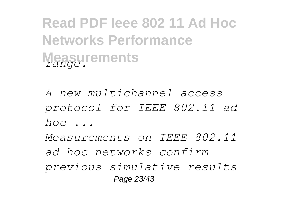**Read PDF Ieee 802 11 Ad Hoc Networks Performance Measurements** *range.*

*A new multichannel access protocol for IEEE 802.11 ad hoc ...*

*Measurements on IEEE 802.11 ad hoc networks confirm previous simulative results* Page 23/43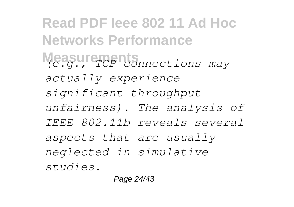**Read PDF Ieee 802 11 Ad Hoc Networks Performance Measurements** *(e.g., TCP connections may actually experience significant throughput unfairness). The analysis of IEEE 802.11b reveals several aspects that are usually neglected in simulative studies.*

Page 24/43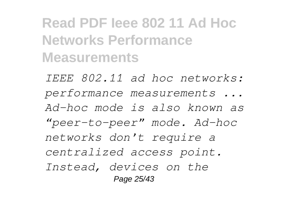**Read PDF Ieee 802 11 Ad Hoc Networks Performance Measurements**

*IEEE 802.11 ad hoc networks: performance measurements ... Ad-hoc mode is also known as "peer-to-peer" mode. Ad-hoc networks don't require a centralized access point. Instead, devices on the* Page 25/43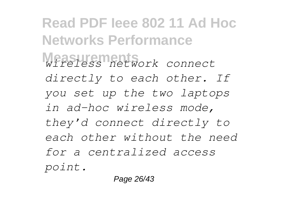**Read PDF Ieee 802 11 Ad Hoc Networks Performance Measurements** *wireless network connect directly to each other. If you set up the two laptops in ad-hoc wireless mode, they'd connect directly to each other without the need for a centralized access point.*

Page 26/43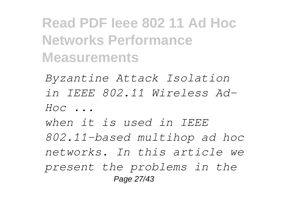**Read PDF Ieee 802 11 Ad Hoc Networks Performance Measurements**

*Byzantine Attack Isolation in IEEE 802.11 Wireless Ad-Hoc ...*

*when it is used in IEEE 802.11-based multihop ad hoc networks. In this article we present the problems in the* Page 27/43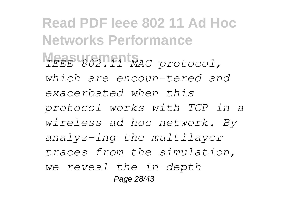**Read PDF Ieee 802 11 Ad Hoc Networks Performance Measurements** *IEEE 802.11 MAC protocol, which are encoun-tered and exacerbated when this protocol works with TCP in a wireless ad hoc network. By analyz-ing the multilayer traces from the simulation, we reveal the in-depth* Page 28/43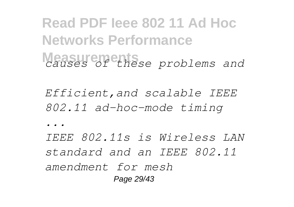## **Read PDF Ieee 802 11 Ad Hoc Networks Performance Measurements** *causes of these problems and*

*Efficient,and scalable IEEE 802.11 ad-hoc-mode timing*

*...*

*IEEE 802.11s is Wireless LAN standard and an IEEE 802.11 amendment for mesh* Page 29/43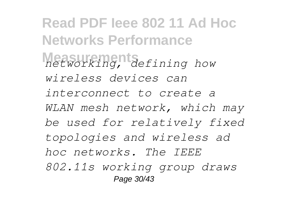**Read PDF Ieee 802 11 Ad Hoc Networks Performance Measurements** *networking, defining how wireless devices can interconnect to create a WLAN mesh network, which may be used for relatively fixed topologies and wireless ad hoc networks. The IEEE 802.11s working group draws* Page 30/43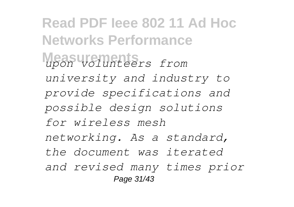**Read PDF Ieee 802 11 Ad Hoc Networks Performance Measurements** *upon volunteers from university and industry to provide specifications and possible design solutions for wireless mesh networking. As a standard, the document was iterated and revised many times prior* Page 31/43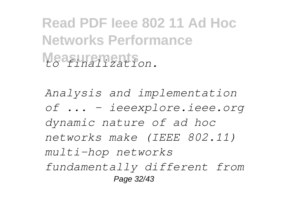## **Read PDF Ieee 802 11 Ad Hoc Networks Performance Measurements** *to finalization.*

*Analysis and implementation of ... - ieeexplore.ieee.org dynamic nature of ad hoc networks make (IEEE 802.11) multi-hop networks fundamentally different from* Page 32/43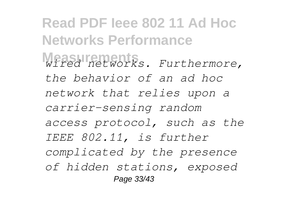**Read PDF Ieee 802 11 Ad Hoc Networks Performance Measurements** *wired networks. Furthermore, the behavior of an ad hoc network that relies upon a carrier-sensing random access protocol, such as the IEEE 802.11, is further complicated by the presence of hidden stations, exposed* Page 33/43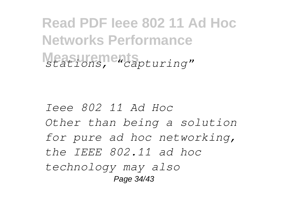**Read PDF Ieee 802 11 Ad Hoc Networks Performance Measurements** *stations, "capturing"*

*Ieee 802 11 Ad Hoc Other than being a solution for pure ad hoc networking, the IEEE 802.11 ad hoc technology may also* Page 34/43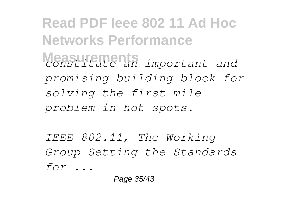**Read PDF Ieee 802 11 Ad Hoc Networks Performance Measurements** *constitute an important and promising building block for solving the first mile problem in hot spots.*

*IEEE 802.11, The Working Group Setting the Standards for ...*

Page 35/43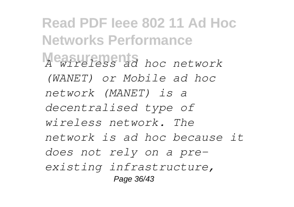**Read PDF Ieee 802 11 Ad Hoc Networks Performance Measurements** *hoc network (WANET) or Mobile ad hoc network (MANET) is a decentralised type of wireless network. The network is ad hoc because it does not rely on a preexisting infrastructure,* Page 36/43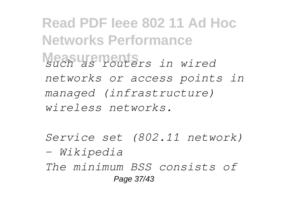**Read PDF Ieee 802 11 Ad Hoc Networks Performance Measurements** *such as routers in wired networks or access points in managed (infrastructure) wireless networks.*

*Service set (802.11 network) - Wikipedia*

*The minimum BSS consists of* Page 37/43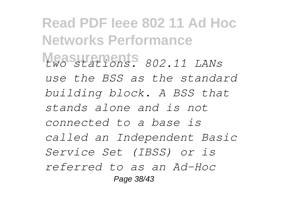**Read PDF Ieee 802 11 Ad Hoc Networks Performance Measurements** *two stations. 802.11 LANs use the BSS as the standard building block. A BSS that stands alone and is not connected to a base is called an Independent Basic Service Set (IBSS) or is referred to as an Ad-Hoc* Page 38/43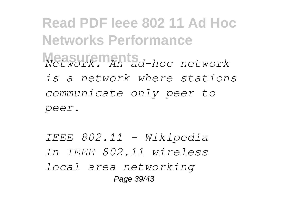**Read PDF Ieee 802 11 Ad Hoc Networks Performance Measurements** *Network. An ad-hoc network is a network where stations communicate only peer to peer.*

*IEEE 802.11 - Wikipedia In IEEE 802.11 wireless local area networking* Page 39/43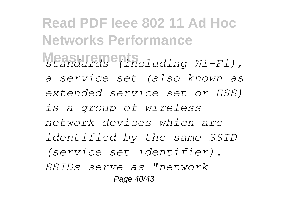**Read PDF Ieee 802 11 Ad Hoc Networks Performance Measurements** *standards (including Wi-Fi), a service set (also known as extended service set or ESS) is a group of wireless network devices which are identified by the same SSID (service set identifier). SSIDs serve as "network* Page 40/43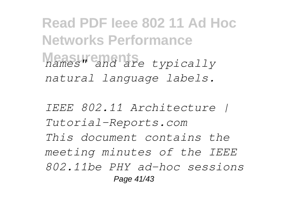**Read PDF Ieee 802 11 Ad Hoc Networks Performance Measurements** *names" and are typically natural language labels.*

*IEEE 802.11 Architecture | Tutorial-Reports.com This document contains the meeting minutes of the IEEE 802.11be PHY ad-hoc sessions* Page 41/43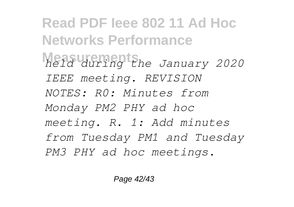**Read PDF Ieee 802 11 Ad Hoc Networks Performance Measurements** *held during the January 2020 IEEE meeting. REVISION NOTES: R0: Minutes from Monday PM2 PHY ad hoc meeting. R. 1: Add minutes from Tuesday PM1 and Tuesday PM3 PHY ad hoc meetings.*

Page 42/43